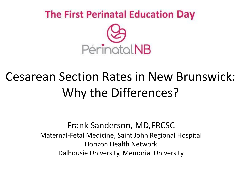

#### Frank Sanderson, MD,FRCSC Maternal-Fetal Medicine, Saint John Regional Hospital Horizon Health Network Dalhousie University, Memorial University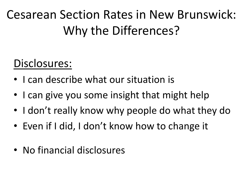### Disclosures:

- I can describe what our situation is
- I can give you some insight that might help
- I don't really know why people do what they do
- Even if I did, I don't know how to change it
- No financial disclosures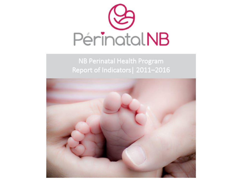

NB Perinatal Health Program Report of Indicators | 2011-2016

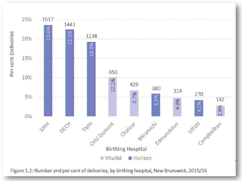

Figure 1.2: Number and per cent of deliveries, by birthing hospital, New Brunswick, 2015/16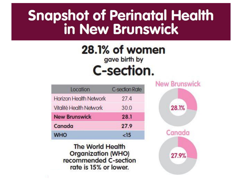### **Snapshot of Perinatal Health** in New Brunswick

### 28.1% of women gave birth by C-section.

| Location                      | C-section Rate |
|-------------------------------|----------------|
| <b>Horizon Health Network</b> | 27.4           |
| Vitalité Health Network       | 30.0           |
| <b>New Brunswick</b>          | 28.1           |
| Canada                        | 27.9           |
| <b>WHO</b>                    | $\leq$ 15      |

The World Health **Organization (WHO)** recommended C-section rate is 15% or lower.

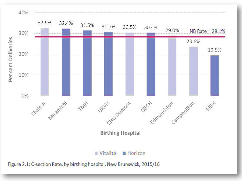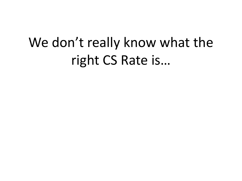# We don't really know what the right CS Rate is...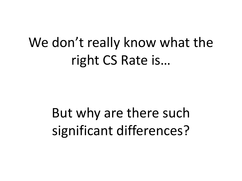# We don't really know what the right CS Rate is…

But why are there such significant differences?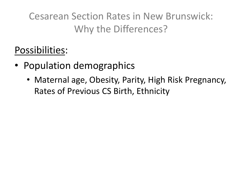### Possibilities:

- Population demographics
	- Maternal age, Obesity, Parity, High Risk Pregnancy, Rates of Previous CS Birth, Ethnicity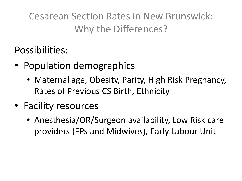### Possibilities:

- Population demographics
	- Maternal age, Obesity, Parity, High Risk Pregnancy, Rates of Previous CS Birth, Ethnicity
- Facility resources
	- Anesthesia/OR/Surgeon availability, Low Risk care providers (FPs and Midwives), Early Labour Unit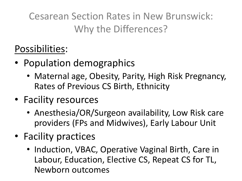### Possibilities:

- Population demographics
	- Maternal age, Obesity, Parity, High Risk Pregnancy, Rates of Previous CS Birth, Ethnicity
- Facility resources
	- Anesthesia/OR/Surgeon availability, Low Risk care providers (FPs and Midwives), Early Labour Unit
- Facility practices
	- Induction, VBAC, Operative Vaginal Birth, Care in Labour, Education, Elective CS, Repeat CS for TL, Newborn outcomes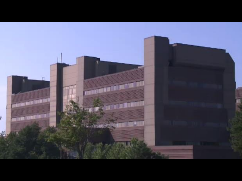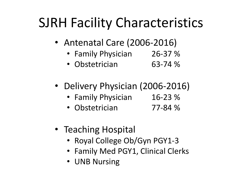# SJRH Facility Characteristics

- Antenatal Care (2006-2016)
	- Family Physician 26-37 %
	- Obstetrician 63-74 %
- Delivery Physician (2006-2016)
	- Family Physician 16-23 %
	- Obstetrician 77-84 %
- Teaching Hospital
	- Royal College Ob/Gyn PGY1-3
	- Family Med PGY1, Clinical Clerks
	- UNB Nursing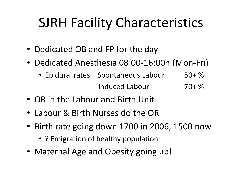# SJRH Facility Characteristics

- Dedicated OB and FP for the day
- Dedicated Anesthesia 08:00-16:00h (Mon-Fri)
	- Epidural rates: Spontaneous Labour 50+ % Induced Labour 70+ %
- OR in the Labour and Birth Unit
- Labour & Birth Nurses do the OR
- Birth rate going down 1700 in 2006, 1500 now
	- ? Emigration of healthy population
- Maternal Age and Obesity going up!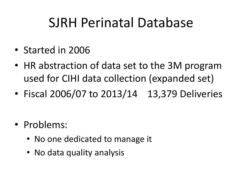### SJRH Perinatal Database

- Started in 2006
- HR abstraction of data set to the 3M program used for CIHI data collection (expanded set)
- Fiscal 2006/07 to 2013/14 13,379 Deliveries

- Problems:
	- No one dedicated to manage it
	- No data quality analysis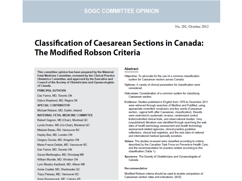#### **SOGC COMMITTEE OPINION**

No. 281, October 2012

#### **Classification of Caesarean Sections in Canada: The Modified Robson Criteria**

This committee opinion has been prepared by the Maternal Fetal Medicine Committee, reviewed by the Clinical Practice Obstetrics Committee, and approved by the Executive and Council of the Society of Obstetricians and Gynaecologists of Canada.

#### **PRINCIPAL AUTHORS**

Dan Farine, MD, Toronto ON Debra Shepherd, MD, Regina SK **SPECIAL CONTRIBUTOR** Michael Robson, MD, Dublin, Ireland MATERNAL FETAL MEDICINE COMMITTEE Robert Gagnon, MD (Chair), Montreal QC Lynda Hudon, MD (Co-Chair), Montreal QC Melanie Basso, RN, Vancouver BC Hayley Bos, MD, London ON Gregory Davies, MD, Kingston ON Marie-France Delisle, MD, Vancouver BC Dan Farine, MD, Toronto ON Savas Menticoglou, MD, Winnipeg MB William Mundle, MD, Windsor ON Lynn Murphy-Kaulbeck, MD, Allison NB Annie Ouellet, MD, Sherbrooke QC Tracy Pressey, MD, Vancouver BC Anne Roggensack, MD, Calgary AB

#### **Abstract**

- Objective: To advocate for the use of a common classification system for Caesarean section across Canada.
- Options: A variety of clinical parameters for classification were considered.
- Outcomes: Consideration of a common system for classifying Caesarean section.
- Evidence: Studies published in English from 1976 to December 2011 were retrieved through searches of Medline and PubMed, using appropriate controlled vocabulary and key words (Caesarean section, vaginal birth after Caesarean, classification). Results were restricted to systematic reviews, randomized control trials/controlled clinical trials, and observational studies. Grey (unpublished) literature was identified through searching the web sites of health technology assessment and health technology assessment-related agencies, clinical practice guideline collections, clinical trial registries, and the web sites of national and international medical specialty societies.
- Values: The studies reviewed were classified according to criteria described by the Canadian Task Force on Preventive Health Care, and the recommendation for practice ranked according to this classification (Table 1).
- Sponsors: The Society of Obstetricians and Gynaecologists of Canada.

#### **Recommendation**

Modified Robson criteria should be used to enable comparison of Caesarean section rates and indications. (III-B)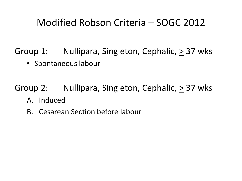Group 1: Nullipara, Singleton, Cephalic, > 37 wks

• Spontaneous labour

Group 2: Nullipara, Singleton, Cephalic, > 37 wks

- A. Induced
- B. Cesarean Section before labour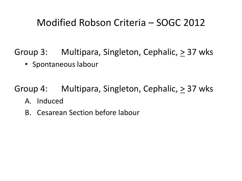Group 3: Multipara, Singleton, Cephalic, > 37 wks

• Spontaneous labour

Group 4: Multipara, Singleton, Cephalic, > 37 wks

- A. Induced
- B. Cesarean Section before labour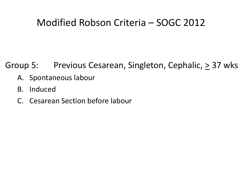#### Group 5: Previous Cesarean, Singleton, Cephalic, > 37 wks

- A. Spontaneous labour
- B. Induced
- C. Cesarean Section before labour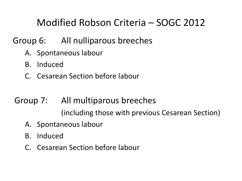#### Group 6: All nulliparous breeches

- A. Spontaneous labour
- B. Induced
- C. Cesarean Section before labour

#### Group 7: All multiparous breeches

(including those with previous Cesarean Section)

- A. Spontaneous labour
- B. Induced
- C. Cesarean Section before labour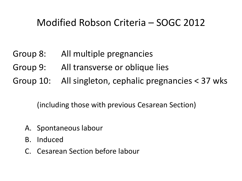- Group 8: All multiple pregnancies
- Group 9: All transverse or oblique lies
- Group 10: All singleton, cephalic pregnancies < 37 wks

(including those with previous Cesarean Section)

- A. Spontaneous labour
- B. Induced
- C. Cesarean Section before labour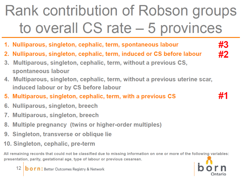# Rank contribution of Robson groups to overall  $CS$  rate  $-5$  provinces

- 1. Nulliparous, singleton, cephalic, term, spontaneous labour
- 2. Nulliparous, singleton, cephalic, term, induced or CS before labour
- Multiparous, singleton, cephalic, term, without a previous CS,  $3_{-}$ spontaneous labour
- 4. Multiparous, singleton, cephalic, term, without a previous uterine scar, induced labour or by CS before labour
- 5. Multiparous, singleton, cephalic, term, with a previous CS
- 6. Nulliparous, singleton, breech
- Multiparous, singleton, breech 7.
- Multiple pregnancy (twins or higher-order multiples) 8.
- 9. Singleton, transverse or oblique lie
- 10. Singleton, cephalic, pre-term

All remaining records that could not be classified due to missing information on one or more of the following variables: presentation, parity, gestational age, type of labour or previous cesarean.



#1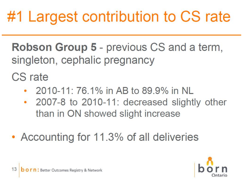# #1 Largest contribution to CS rate

**Robson Group 5** - previous CS and a term, singleton, cephalic pregnancy

CS rate

- 2010-11: 76.1% in AB to 89.9% in NL  $\bullet$
- 2007-8 to 2010-11: decreased slightly other  $\bullet$ than in ON showed slight increase
- Accounting for 11.3% of all deliveries

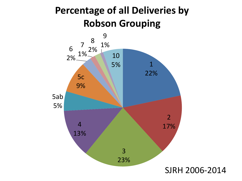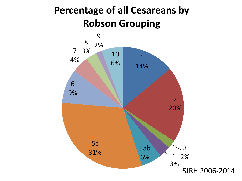### **Percentage of all Cesareans by Robson Grouping**

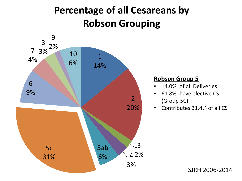### **Percentage of all Cesareans by Robson Grouping**



#### **Robson Group 5**

- 14.0% of all Deliveries
- 61.8% have elective CS (Group 5C)
- Contributes 31.4% of all CS

SJRH 2006-2014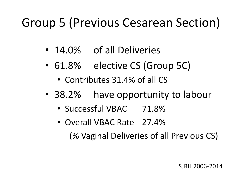### Group 5 (Previous Cesarean Section)

- 14.0% of all Deliveries
- 61.8% elective CS (Group 5C)
	- Contributes 31.4% of all CS
- 38.2% have opportunity to labour
	- Successful VBAC 71.8%
	- Overall VBAC Rate 27.4% (% Vaginal Deliveries of all Previous CS)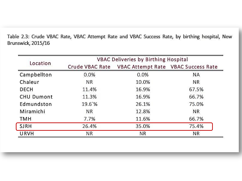Table 2.3: Crude VBAC Rate, VBAC Attempt Rate and VBAC Success Rate, by birthing hospital, New Brunswick, 2015/16

| Location          | VBAC Deliveries by Birthing Hospital |                                     |           |
|-------------------|--------------------------------------|-------------------------------------|-----------|
|                   | Crude VBAC Rate                      | VBAC Attempt Rate VBAC Success Rate |           |
| Campbellton       | 0.0%                                 | 0.0%                                | <b>NA</b> |
| Chaleur           | N <sub>R</sub>                       | 10.0%                               | NR.       |
| DECH              | 11.4%                                | 16.9%                               | 67.5%     |
| <b>CHU Dumont</b> | 11.3%                                | 16.9%                               | 66.7%     |
| Edmundston        | 19.6%                                | 26.1%                               | 75.0%     |
| Miramichi         | <b>NR</b>                            | 12.8%                               | <b>NR</b> |
| TMH               | 7.7%                                 | 11.6%                               | 66.7%     |
| SJRH              | 26.4%                                | 35.0%                               | 75.4%     |
| URVH              | <b>NR</b>                            | ΝR                                  | <b>NR</b> |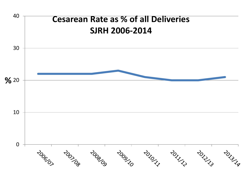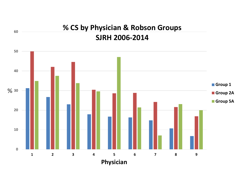#### **% CS by Physician & Robson Groups SJRH 2006-2014**

**60**

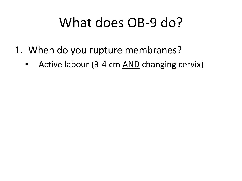- 1. When do you rupture membranes?
	- Active labour (3-4 cm AND changing cervix)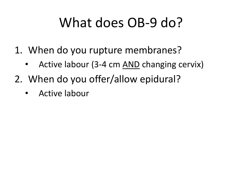- 1. When do you rupture membranes?
	- Active labour (3-4 cm AND changing cervix)
- 2. When do you offer/allow epidural?
	- Active labour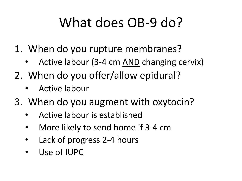- 1. When do you rupture membranes?
	- Active labour (3-4 cm AND changing cervix)
- 2. When do you offer/allow epidural?
	- Active labour
- 3. When do you augment with oxytocin?
	- Active labour is established
	- More likely to send home if 3-4 cm
	- Lack of progress 2-4 hours
	- Use of IUPC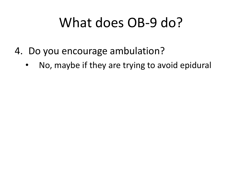- 4. Do you encourage ambulation?
	- No, maybe if they are trying to avoid epidural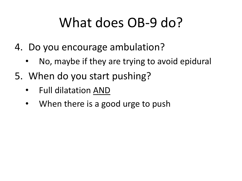- 4. Do you encourage ambulation?
	- No, maybe if they are trying to avoid epidural
- 5. When do you start pushing?
	- Full dilatation AND
	- When there is a good urge to push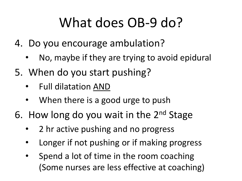- 4. Do you encourage ambulation?
	- No, maybe if they are trying to avoid epidural
- 5. When do you start pushing?
	- Full dilatation AND
	- When there is a good urge to push
- 6. How long do you wait in the  $2<sup>nd</sup>$  Stage
	- 2 hr active pushing and no progress
	- Longer if not pushing or if making progress
	- Spend a lot of time in the room coaching (Some nurses are less effective at coaching)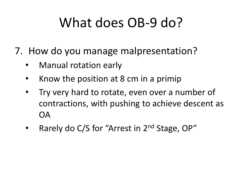- 7. How do you manage malpresentation?
	- Manual rotation early
	- Know the position at 8 cm in a primip
	- Try very hard to rotate, even over a number of contractions, with pushing to achieve descent as OA
	- Rarely do C/S for "Arrest in 2<sup>nd</sup> Stage, OP"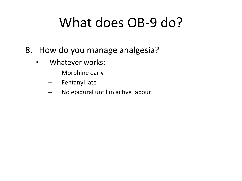- 8. How do you manage analgesia?
	- Whatever works:
		- Morphine early
		- Fentanyl late
		- No epidural until in active labour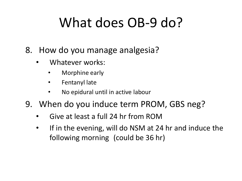- 8. How do you manage analgesia?
	- Whatever works:
		- Morphine early
		- Fentanyl late
		- No epidural until in active labour
- 9. When do you induce term PROM, GBS neg?
	- Give at least a full 24 hr from ROM
	- If in the evening, will do NSM at 24 hr and induce the following morning (could be 36 hr)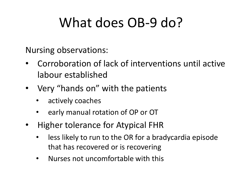Nursing observations:

- Corroboration of lack of interventions until active labour established
- Very "hands on" with the patients
	- actively coaches
	- early manual rotation of OP or OT
- Higher tolerance for Atypical FHR
	- less likely to run to the OR for a bradycardia episode that has recovered or is recovering
	- Nurses not uncomfortable with this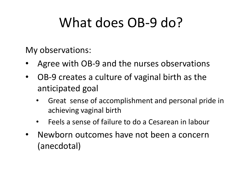My observations:

- Agree with OB-9 and the nurses observations
- OB-9 creates a culture of vaginal birth as the anticipated goal
	- Great sense of accomplishment and personal pride in achieving vaginal birth
	- Feels a sense of failure to do a Cesarean in labour
- Newborn outcomes have not been a concern (anecdotal)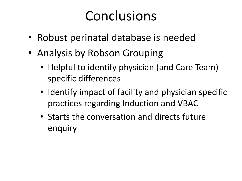## Conclusions

- Robust perinatal database is needed
- Analysis by Robson Grouping
	- Helpful to identify physician (and Care Team) specific differences
	- Identify impact of facility and physician specific practices regarding Induction and VBAC
	- Starts the conversation and directs future enquiry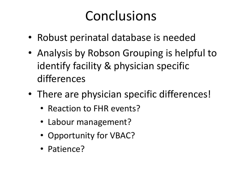# Conclusions

- Robust perinatal database is needed
- Analysis by Robson Grouping is helpful to identify facility & physician specific differences
- There are physician specific differences!
	- Reaction to FHR events?
	- Labour management?
	- Opportunity for VBAC?
	- Patience?